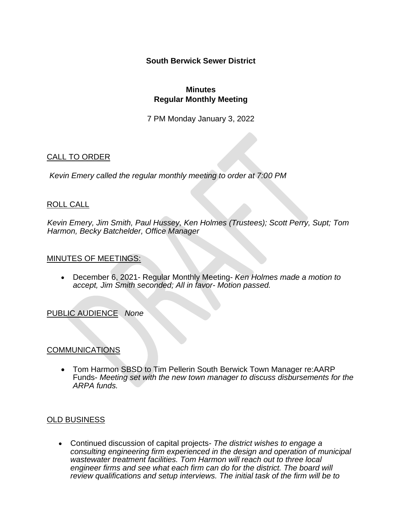**South Berwick Sewer District** 

# **Minutes Regular Monthly Meeting**

7 PM Monday January 3, 2022

# CALL TO ORDER

*Kevin Emery called the regular monthly meeting to order at 7:00 PM*

## ROLL CALL

*Kevin Emery, Jim Smith, Paul Hussey, Ken Holmes (Trustees); Scott Perry, Supt; Tom Harmon, Becky Batchelder, Office Manager*

## MINUTES OF MEETINGS:

• December 6, 2021- Regular Monthly Meeting- *Ken Holmes made a motion to accept, Jim Smith seconded; All in favor- Motion passed.*

## PUBLIC AUDIENCE *None*

## COMMUNICATIONS

• Tom Harmon SBSD to Tim Pellerin South Berwick Town Manager re:AARP Funds- *Meeting set with the new town manager to discuss disbursements for the ARPA funds.*

# OLD BUSINESS

• Continued discussion of capital projects- *The district wishes to engage a consulting engineering firm experienced in the design and operation of municipal wastewater treatment facilities. Tom Harmon will reach out to three local engineer firms and see what each firm can do for the district. The board will review qualifications and setup interviews. The initial task of the firm will be to*